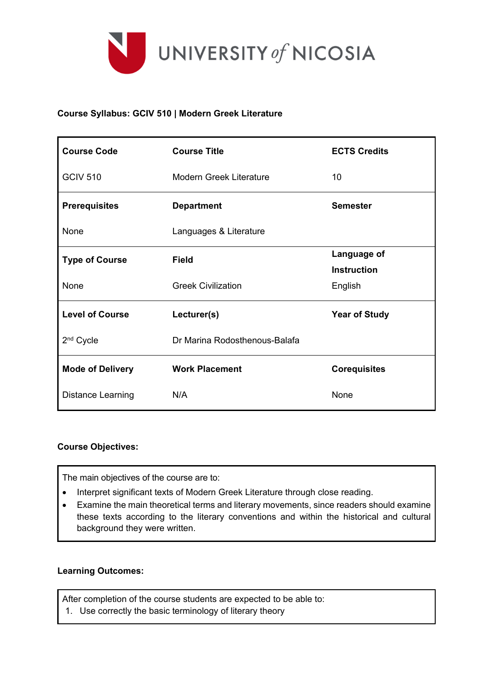

## **Course Syllabus: GCIV 510 | Modern Greek Literature**

| <b>Course Code</b>       | <b>Course Title</b>            | <b>ECTS Credits</b>  |  |
|--------------------------|--------------------------------|----------------------|--|
| <b>GCIV 510</b>          | <b>Modern Greek Literature</b> | 10                   |  |
| <b>Prerequisites</b>     | <b>Department</b>              | <b>Semester</b>      |  |
| None                     | Languages & Literature         |                      |  |
| <b>Type of Course</b>    | <b>Field</b>                   | Language of          |  |
|                          |                                | <b>Instruction</b>   |  |
| None                     | <b>Greek Civilization</b>      | English              |  |
| <b>Level of Course</b>   | Lecturer(s)                    | <b>Year of Study</b> |  |
| 2 <sup>nd</sup> Cycle    | Dr Marina Rodosthenous-Balafa  |                      |  |
| <b>Mode of Delivery</b>  | <b>Work Placement</b>          | <b>Corequisites</b>  |  |
| <b>Distance Learning</b> | N/A                            | None                 |  |

#### **Course Objectives:**

The main objectives of the course are to:

- Interpret significant texts of Modern Greek Literature through close reading.
- Examine the main theoretical terms and literary movements, since readers should examine these texts according to the literary conventions and within the historical and cultural background they were written.

#### **Learning Outcomes:**

After completion of the course students are expected to be able to:

1. Use correctly the basic terminology of literary theory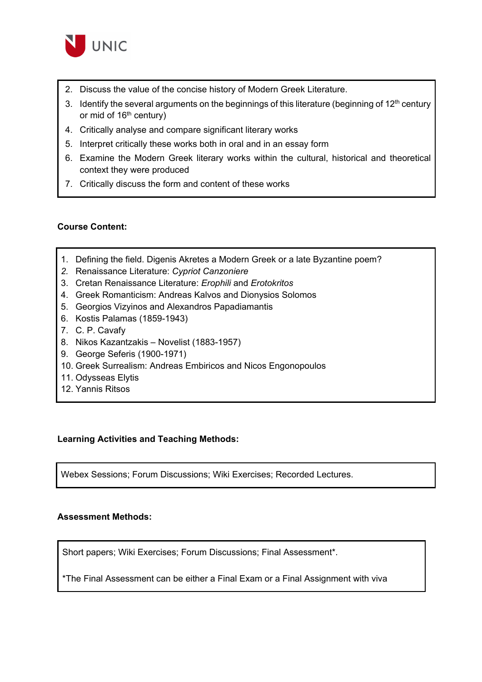

- 2. Discuss the value of the concise history of Modern Greek Literature.
- 3. Identify the several arguments on the beginnings of this literature (beginning of  $12<sup>th</sup>$  century or mid of 16<sup>th</sup> century)
- 4. Critically analyse and compare significant literary works
- 5. Interpret critically these works both in oral and in an essay form
- 6. Examine the Modern Greek literary works within the cultural, historical and theoretical context they were produced
- 7. Critically discuss the form and content of these works

### **Course Content:**

- 1. Defining the field. Digenis Akretes a Modern Greek or a late Byzantine poem?
- *2.* Renaissance Literature: *Cypriot Canzoniere*
- 3. Cretan Renaissance Literature: *Erophili* and *Erotokritos*
- 4. Greek Romanticism: Andreas Kalvos and Dionysios Solomos
- 5. Georgios Vizyinos and Alexandros Papadiamantis
- 6. Kostis Palamas (1859-1943)
- 7. C. P. Cavafy
- 8. Nikos Kazantzakis Novelist (1883-1957)
- 9. George Seferis (1900-1971)
- 10. Greek Surrealism: Andreas Embiricos and Nicos Engonopoulos
- 11. Odysseas Elytis
- 12. Yannis Ritsos

#### **Learning Activities and Teaching Methods:**

Webex Sessions; Forum Discussions; Wiki Exercises; Recorded Lectures.

#### **Assessment Methods:**

Short papers; Wiki Exercises; Forum Discussions; Final Assessment\*.

\*The Final Assessment can be either a Final Exam or a Final Assignment with viva